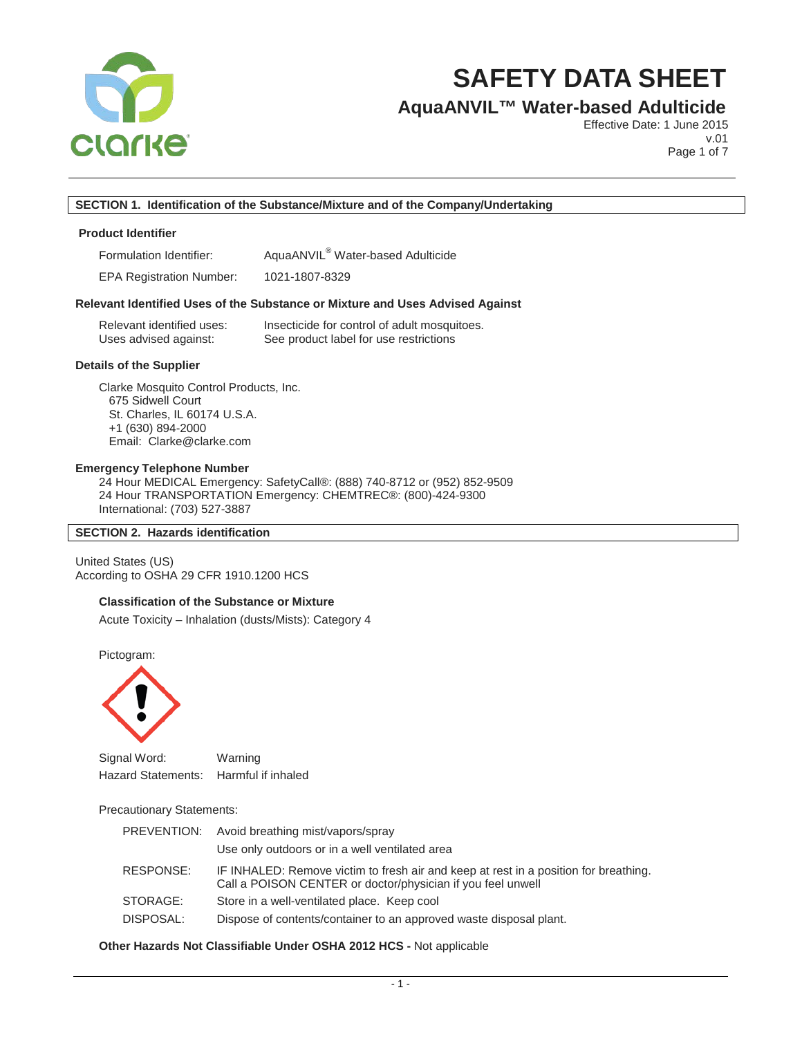

# **AquaANVIL™ Water-based Adulticide**

Effective Date: 1 June 2015 v.01

Page 1 of 7

## **SECTION 1. Identification of the Substance/Mixture and of the Company/Undertaking**

### **Product Identifier**

Formulation Identifier: AquaANVIL® Water-based Adulticide

EPA Registration Number: 1021-1807-8329

#### **Relevant Identified Uses of the Substance or Mixture and Uses Advised Against**

| Relevant identified uses: | Insecticide for control of adult mosquitoes. |
|---------------------------|----------------------------------------------|
| Uses advised against:     | See product label for use restrictions       |

#### **Details of the Supplier**

Clarke Mosquito Control Products, Inc. 675 Sidwell Court St. Charles, IL 60174 U.S.A. +1 (630) 894-2000 Email: Clarke@clarke.com

### **Emergency Telephone Number**

24 Hour MEDICAL Emergency: SafetyCall®: (888) 740-8712 or (952) 852-9509 24 Hour TRANSPORTATION Emergency: CHEMTREC®: (800)-424-9300 International: (703) 527-3887

#### **SECTION 2. Hazards identification**

United States (US) According to OSHA 29 CFR 1910.1200 HCS

#### **Classification of the Substance or Mixture**

Acute Toxicity – Inhalation (dusts/Mists): Category 4

Pictogram:



Signal Word: Warning Hazard Statements: Harmful if inhaled

#### Precautionary Statements:

|           | PREVENTION: Avoid breathing mist/vapors/spray<br>Use only outdoors or in a well ventilated area                                                     |
|-----------|-----------------------------------------------------------------------------------------------------------------------------------------------------|
| RESPONSE: | IF INHALED: Remove victim to fresh air and keep at rest in a position for breathing.<br>Call a POISON CENTER or doctor/physician if you feel unwell |
| STORAGE:  | Store in a well-ventilated place. Keep cool                                                                                                         |
| DISPOSAL: | Dispose of contents/container to an approved waste disposal plant.                                                                                  |

#### **Other Hazards Not Classifiable Under OSHA 2012 HCS -** Not applicable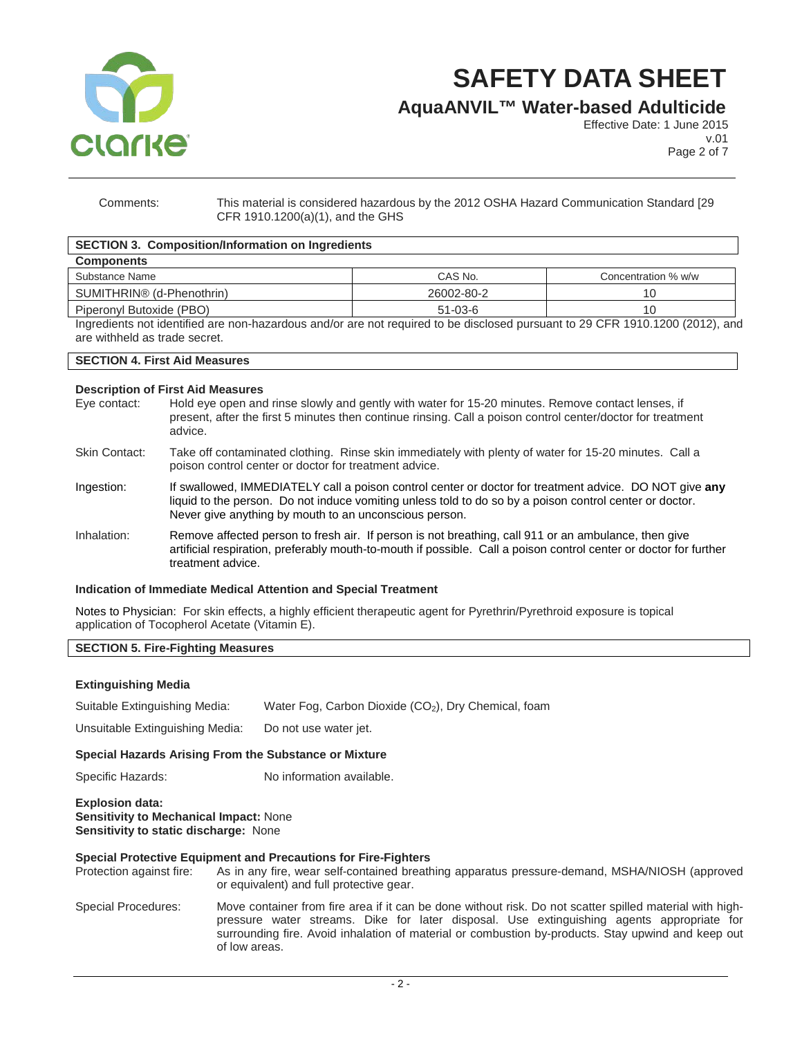

**AquaANVIL™ Water-based Adulticide**

Effective Date: 1 June 2015 v.01

Page 2 of 7

Comments: This material is considered hazardous by the 2012 OSHA Hazard Communication Standard [29 CFR 1910.1200(a)(1), and the GHS

# **SECTION 3. Composition/Information on Ingredients**

| <b>Components</b>                     |               |                     |
|---------------------------------------|---------------|---------------------|
| Substance Name                        | CAS No.       | Concentration % w/w |
| SUMITHRIN <sup>®</sup> (d-Phenothrin) | 26002-80-2    | 10                  |
| Piperonyl Butoxide (PBO)              | $51 - 03 - 6$ | 10                  |
| .                                     |               |                     |

Ingredients not identified are non-hazardous and/or are not required to be disclosed pursuant to 29 CFR 1910.1200 (2012), and are withheld as trade secret.

# **SECTION 4. First Aid Measures**

# **Description of First Aid Measures**

|                      | P00011101101101 1101 /101 111000101                                                                                                                                                                                                                                         |
|----------------------|-----------------------------------------------------------------------------------------------------------------------------------------------------------------------------------------------------------------------------------------------------------------------------|
| Eye contact:         | Hold eye open and rinse slowly and gently with water for 15-20 minutes. Remove contact lenses, if<br>present, after the first 5 minutes then continue rinsing. Call a poison control center/doctor for treatment<br>advice.                                                 |
| <b>Skin Contact:</b> | Take off contaminated clothing. Rinse skin immediately with plenty of water for 15-20 minutes. Call a<br>poison control center or doctor for treatment advice.                                                                                                              |
| Ingestion:           | If swallowed, IMMEDIATELY call a poison control center or doctor for treatment advice. DO NOT give any<br>liquid to the person. Do not induce vomiting unless told to do so by a poison control center or doctor.<br>Never give anything by mouth to an unconscious person. |
| Inhalation:          | Remove affected person to fresh air. If person is not breathing, call 911 or an ambulance, then give<br>artificial respiration, preferably mouth-to-mouth if possible. Call a poison control center or doctor for further<br>treatment advice.                              |

#### **Indication of Immediate Medical Attention and Special Treatment**

Notes to Physician: For skin effects, a highly efficient therapeutic agent for Pyrethrin/Pyrethroid exposure is topical application of Tocopherol Acetate (Vitamin E).

# **SECTION 5. Fire-Fighting Measures**

#### **Extinguishing Media**

Suitable Extinguishing Media: Water Fog, Carbon Dioxide (CO<sub>2</sub>), Dry Chemical, foam

Unsuitable Extinguishing Media: Do not use water jet.

# **Special Hazards Arising From the Substance or Mixture**

Specific Hazards: No information available.

**Explosion data: Sensitivity to Mechanical Impact:** None **Sensitivity to static discharge:** None

# **Special Protective Equipment and Precautions for Fire-Fighters**

Protection against fire: As in any fire, wear self-contained breathing apparatus pressure-demand, MSHA/NIOSH (approved or equivalent) and full protective gear.

Special Procedures: Move container from fire area if it can be done without risk. Do not scatter spilled material with highpressure water streams. Dike for later disposal. Use extinguishing agents appropriate for surrounding fire. Avoid inhalation of material or combustion by-products. Stay upwind and keep out of low areas.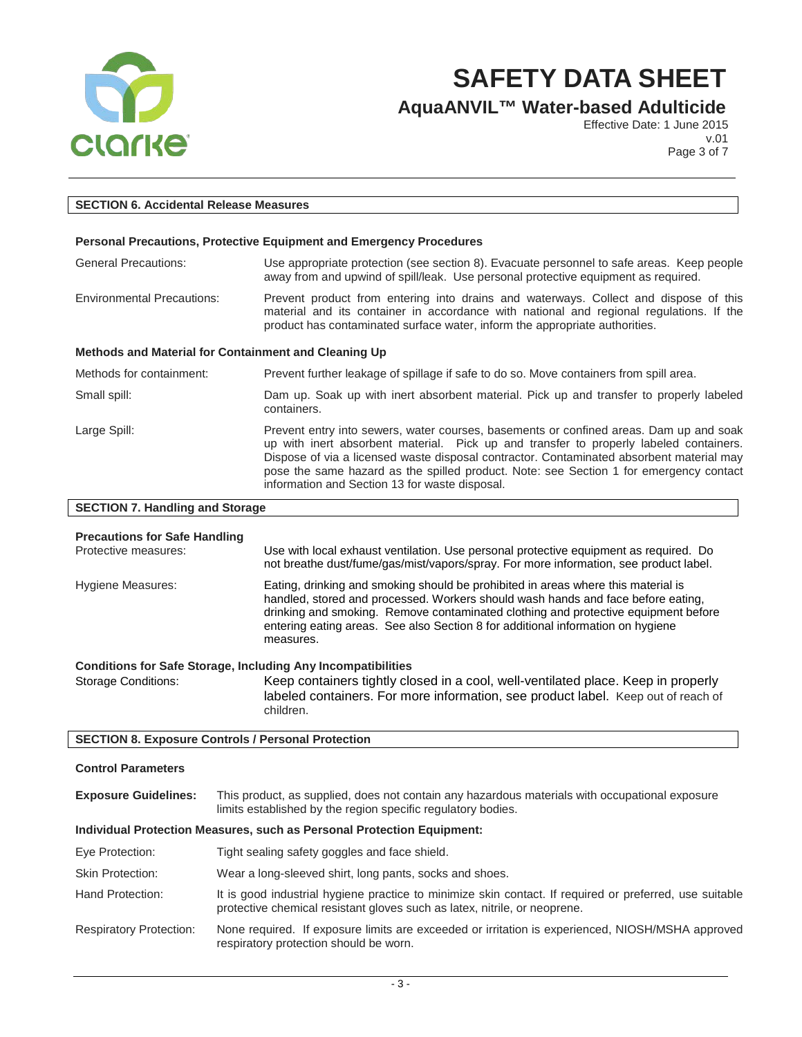

**AquaANVIL™ Water-based Adulticide**

Effective Date: 1 June 2015 v.01

Page 3 of 7

| <b>SECTION 6. Accidental Release Measures</b>                |                                                                                                                                                                                                                                                                                                                                                                                                                          |
|--------------------------------------------------------------|--------------------------------------------------------------------------------------------------------------------------------------------------------------------------------------------------------------------------------------------------------------------------------------------------------------------------------------------------------------------------------------------------------------------------|
|                                                              |                                                                                                                                                                                                                                                                                                                                                                                                                          |
|                                                              | <b>Personal Precautions, Protective Equipment and Emergency Procedures</b>                                                                                                                                                                                                                                                                                                                                               |
| <b>General Precautions:</b>                                  | Use appropriate protection (see section 8). Evacuate personnel to safe areas. Keep people<br>away from and upwind of spill/leak. Use personal protective equipment as required.                                                                                                                                                                                                                                          |
| <b>Environmental Precautions:</b>                            | Prevent product from entering into drains and waterways. Collect and dispose of this<br>material and its container in accordance with national and regional regulations. If the<br>product has contaminated surface water, inform the appropriate authorities.                                                                                                                                                           |
| Methods and Material for Containment and Cleaning Up         |                                                                                                                                                                                                                                                                                                                                                                                                                          |
| Methods for containment:                                     | Prevent further leakage of spillage if safe to do so. Move containers from spill area.                                                                                                                                                                                                                                                                                                                                   |
| Small spill:                                                 | Dam up. Soak up with inert absorbent material. Pick up and transfer to properly labeled<br>containers.                                                                                                                                                                                                                                                                                                                   |
| Large Spill:                                                 | Prevent entry into sewers, water courses, basements or confined areas. Dam up and soak<br>up with inert absorbent material. Pick up and transfer to properly labeled containers.<br>Dispose of via a licensed waste disposal contractor. Contaminated absorbent material may<br>pose the same hazard as the spilled product. Note: see Section 1 for emergency contact<br>information and Section 13 for waste disposal. |
| <b>SECTION 7. Handling and Storage</b>                       |                                                                                                                                                                                                                                                                                                                                                                                                                          |
| <b>Precautions for Safe Handling</b><br>Protective measures: | Use with local exhaust ventilation. Use personal protective equipment as required. Do                                                                                                                                                                                                                                                                                                                                    |

|                   | not breathe dust/fume/gas/mist/vapors/spray. For more information, see product label.                                                                                                                                                                                                                                                                       |
|-------------------|-------------------------------------------------------------------------------------------------------------------------------------------------------------------------------------------------------------------------------------------------------------------------------------------------------------------------------------------------------------|
| Hygiene Measures: | Eating, drinking and smoking should be prohibited in areas where this material is<br>handled, stored and processed. Workers should wash hands and face before eating,<br>drinking and smoking. Remove contaminated clothing and protective equipment before<br>entering eating areas. See also Section 8 for additional information on hygiene<br>measures. |
|                   | <b>Conditions for Safe Storage, Including Any Incompatibilities</b>                                                                                                                                                                                                                                                                                         |

Storage Conditions: Keep containers tightly closed in a cool, well-ventilated place. Keep in properly labeled containers. For more information, see product label. Keep out of reach of children.

# **SECTION 8. Exposure Controls / Personal Protection**

# **Control Parameters**

| <b>Exposure Guidelines:</b> | This product, as supplied, does not contain any hazardous materials with occupational exposure |
|-----------------------------|------------------------------------------------------------------------------------------------|
|                             | limits established by the region specific regulatory bodies.                                   |

#### **Individual Protection Measures, such as Personal Protection Equipment:**

|                                | <u>Marriaga Frotocion Mcasarcs, such as Ecrsonian Fotociion Equipmont.</u>                                                                                                           |
|--------------------------------|--------------------------------------------------------------------------------------------------------------------------------------------------------------------------------------|
| Eye Protection:                | Tight sealing safety goggles and face shield.                                                                                                                                        |
| <b>Skin Protection:</b>        | Wear a long-sleeved shirt, long pants, socks and shoes.                                                                                                                              |
| Hand Protection:               | It is good industrial hygiene practice to minimize skin contact. If required or preferred, use suitable<br>protective chemical resistant gloves such as latex, nitrile, or neoprene. |
| <b>Respiratory Protection:</b> | None required. If exposure limits are exceeded or irritation is experienced, NIOSH/MSHA approved<br>respiratory protection should be worn.                                           |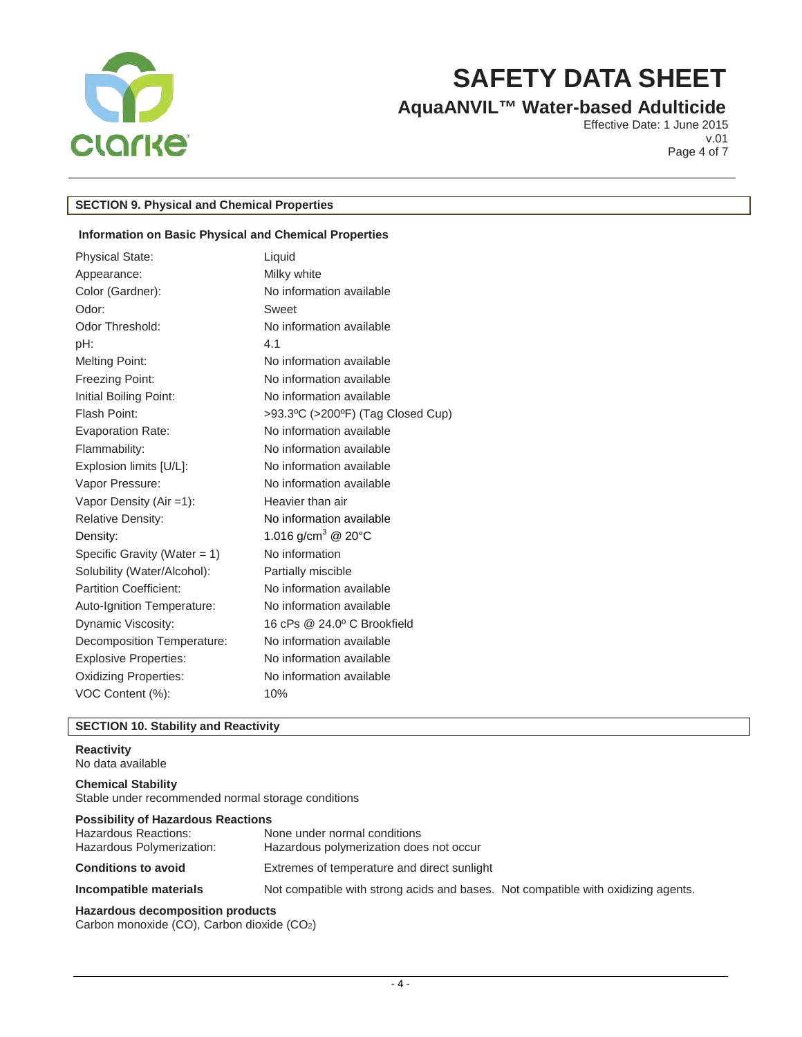

# **AquaANVIL™ Water-based Adulticide**

Effective Date: 1 June 2015 v.01 Page 4 of 7

# **SECTION 9. Physical and Chemical Properties**

# **Information on Basic Physical and Chemical Properties**

| <b>Physical State:</b>          | Liquid                            |
|---------------------------------|-----------------------------------|
| Appearance:                     | Milky white                       |
| Color (Gardner):                | No information available          |
| Odor:                           | Sweet                             |
| Odor Threshold:                 | No information available          |
| pH:                             | 4.1                               |
| <b>Melting Point:</b>           | No information available          |
| Freezing Point:                 | No information available          |
| Initial Boiling Point:          | No information available          |
| Flash Point:                    | >93.3°C (>200°F) (Tag Closed Cup) |
| <b>Evaporation Rate:</b>        | No information available          |
| Flammability:                   | No information available          |
| Explosion limits [U/L]:         | No information available          |
| Vapor Pressure:                 | No information available          |
| Vapor Density $(Air = 1)$ :     | Heavier than air                  |
| Relative Density:               | No information available          |
| Density:                        | 1.016 g/cm <sup>3</sup> @ 20°C    |
| Specific Gravity (Water = $1$ ) | No information                    |
| Solubility (Water/Alcohol):     | Partially miscible                |
| <b>Partition Coefficient:</b>   | No information available          |
| Auto-Ignition Temperature:      | No information available          |
| Dynamic Viscosity:              | 16 cPs @ 24.0° C Brookfield       |
| Decomposition Temperature:      | No information available          |
| <b>Explosive Properties:</b>    | No information available          |
| <b>Oxidizing Properties:</b>    | No information available          |
| VOC Content (%):                | 10%                               |
|                                 |                                   |

# **SECTION 10. Stability and Reactivity**

# **Reactivity**

No data available

**Chemical Stability** Stable under recommended normal storage conditions

| <b>Possibility of Hazardous Reactions</b>         |                                                                                   |  |
|---------------------------------------------------|-----------------------------------------------------------------------------------|--|
| Hazardous Reactions:<br>Hazardous Polymerization: | None under normal conditions<br>Hazardous polymerization does not occur           |  |
| <b>Conditions to avoid</b>                        | Extremes of temperature and direct sunlight                                       |  |
| Incompatible materials                            | Not compatible with strong acids and bases. Not compatible with oxidizing agents. |  |
| Hazardous decomposition products                  |                                                                                   |  |

Carbon monoxide (CO), Carbon dioxide (CO2)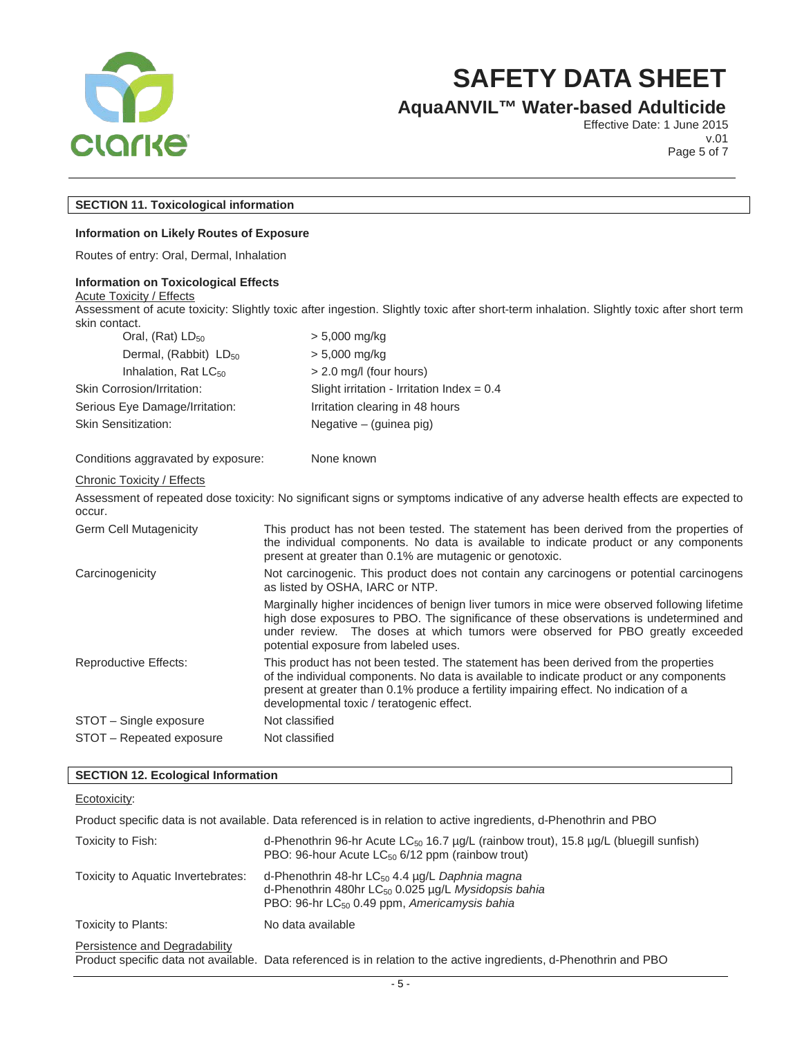

# **AquaANVIL™ Water-based Adulticide**

Effective Date: 1 June 2015 v.01

Page 5 of 7

# **SECTION 11. Toxicological information**

#### **Information on Likely Routes of Exposure**

Routes of entry: Oral, Dermal, Inhalation

#### **Information on Toxicological Effects**

**Acute Toxicity / Effects** Assessment of acute toxicity: Slightly toxic after ingestion. Slightly toxic after short-term inhalation. Slightly toxic after short term skin contact.

| Oral, $(Rat)$ LD <sub>50</sub>    | $> 5,000$ mg/kg                              |
|-----------------------------------|----------------------------------------------|
| Dermal, (Rabbit) LD <sub>50</sub> | $> 5,000$ mg/kg                              |
| Inhalation, Rat $LC_{50}$         | > 2.0 mg/l (four hours)                      |
| Skin Corrosion/Irritation:        | Slight irritation - Irritation Index = $0.4$ |
| Serious Eye Damage/Irritation:    | Irritation clearing in 48 hours              |
| <b>Skin Sensitization:</b>        | Negative $-$ (guinea pig)                    |
|                                   |                                              |

#### Conditions aggravated by exposure: None known

#### Chronic Toxicity / Effects

Assessment of repeated dose toxicity: No significant signs or symptoms indicative of any adverse health effects are expected to occur.

Germ Cell Mutagenicity This product has not been tested. The statement has been derived from the properties of the individual components. No data is available to indicate product or any components present at greater than 0.1% are mutagenic or genotoxic.

Carcinogenicity Not carcinogenic. This product does not contain any carcinogens or potential carcinogens as listed by OSHA, IARC or NTP.

> Marginally higher incidences of benign liver tumors in mice were observed following lifetime high dose exposures to PBO. The significance of these observations is undetermined and under review. The doses at which tumors were observed for PBO greatly exceeded potential exposure from labeled uses.

Reproductive Effects: This product has not been tested. The statement has been derived from the properties of the individual components. No data is available to indicate product or any components present at greater than 0.1% produce a fertility impairing effect. No indication of a developmental toxic / teratogenic effect. STOT – Single exposure Not classified STOT – Repeated exposure Not classified

#### **SECTION 12. Ecological Information**

## Ecotoxicity:

Product specific data is not available. Data referenced is in relation to active ingredients, d-Phenothrin and PBO

| Toxicity to Fish:                  | d-Phenothrin 96-hr Acute LC <sub>50</sub> 16.7 $\mu$ g/L (rainbow trout), 15.8 $\mu$ g/L (bluegill sunfish)<br>PBO: 96-hour Acute LC <sub>50</sub> 6/12 ppm (rainbow trout)               |
|------------------------------------|-------------------------------------------------------------------------------------------------------------------------------------------------------------------------------------------|
| Toxicity to Aquatic Invertebrates: | d-Phenothrin 48-hr LC <sub>50</sub> 4.4 µg/L Daphnia magna<br>d-Phenothrin 480hr LC <sub>50</sub> 0.025 µg/L Mysidopsis bahia<br>PBO: 96-hr LC <sub>50</sub> 0.49 ppm, Americamysis bahia |
| Toxicity to Plants:                | No data available                                                                                                                                                                         |
| Persistence and Degradability      | Product specific data not available. Data referenced is in relation to the active ingredients, d-Phenothrin and PBO                                                                       |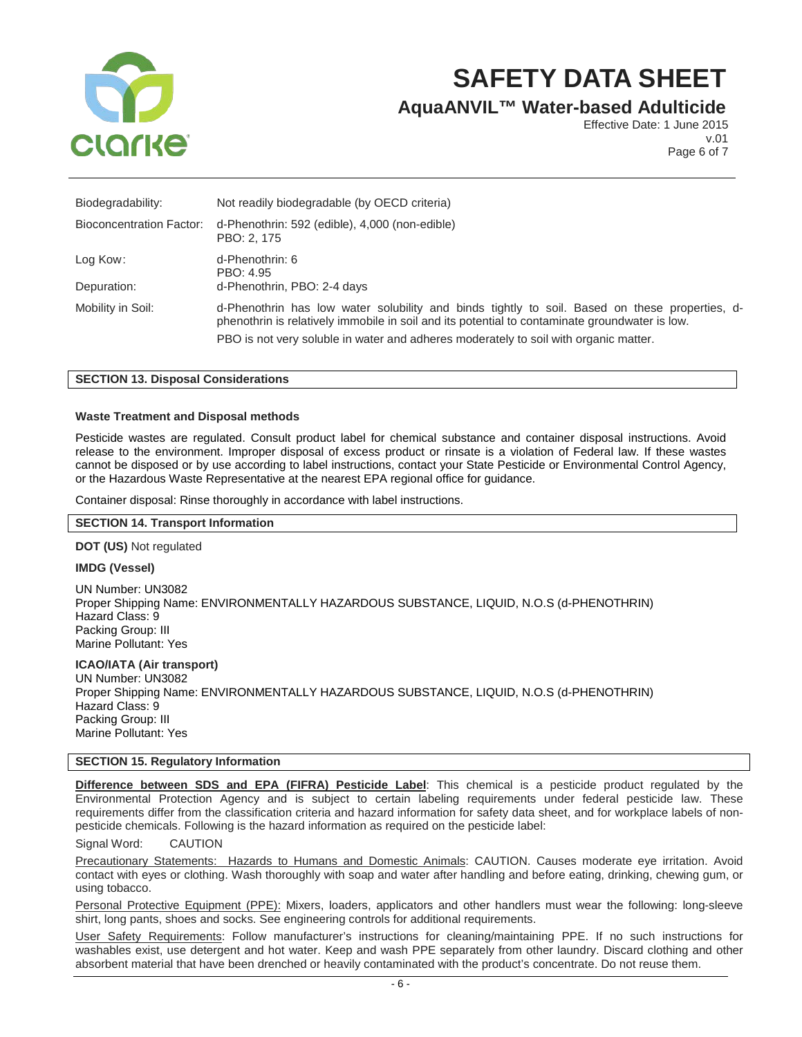

# **AquaANVIL™ Water-based Adulticide**

Effective Date: 1 June 2015 v.01 Page 6 of 7

| Biodegradability:        | Not readily biodegradable (by OECD criteria)                                                                                                                                                     |  |  |
|--------------------------|--------------------------------------------------------------------------------------------------------------------------------------------------------------------------------------------------|--|--|
| Bioconcentration Factor: | d-Phenothrin: 592 (edible), 4,000 (non-edible)<br>PBO: 2, 175                                                                                                                                    |  |  |
| Log Kow:                 | d-Phenothrin: 6<br>PBO: 4.95                                                                                                                                                                     |  |  |
| Depuration:              | d-Phenothrin, PBO: 2-4 days                                                                                                                                                                      |  |  |
| Mobility in Soil:        | d-Phenothrin has low water solubility and binds tightly to soil. Based on these properties, d-<br>phenothrin is relatively immobile in soil and its potential to contaminate groundwater is low. |  |  |
|                          | PBO is not very soluble in water and adheres moderately to soil with organic matter.                                                                                                             |  |  |

## **SECTION 13. Disposal Considerations**

## **Waste Treatment and Disposal methods**

Pesticide wastes are regulated. Consult product label for chemical substance and container disposal instructions. Avoid release to the environment. Improper disposal of excess product or rinsate is a violation of Federal law. If these wastes cannot be disposed or by use according to label instructions, contact your State Pesticide or Environmental Control Agency, or the Hazardous Waste Representative at the nearest EPA regional office for guidance.

Container disposal: Rinse thoroughly in accordance with label instructions.

#### **SECTION 14. Transport Information**

#### **DOT (US)** Not regulated

### **IMDG (Vessel)**

UN Number: UN3082 Proper Shipping Name: ENVIRONMENTALLY HAZARDOUS SUBSTANCE, LIQUID, N.O.S (d-PHENOTHRIN) Hazard Class: 9 Packing Group: III Marine Pollutant: Yes

### **ICAO/IATA (Air transport)**

UN Number: UN3082 Proper Shipping Name: ENVIRONMENTALLY HAZARDOUS SUBSTANCE, LIQUID, N.O.S (d-PHENOTHRIN) Hazard Class: 9 Packing Group: III Marine Pollutant: Yes

## **SECTION 15. Regulatory Information**

**Difference between SDS and EPA (FIFRA) Pesticide Label**: This chemical is a pesticide product regulated by the Environmental Protection Agency and is subject to certain labeling requirements under federal pesticide law. These requirements differ from the classification criteria and hazard information for safety data sheet, and for workplace labels of nonpesticide chemicals. Following is the hazard information as required on the pesticide label:

### Signal Word: CAUTION

Precautionary Statements: Hazards to Humans and Domestic Animals: CAUTION. Causes moderate eye irritation. Avoid contact with eyes or clothing. Wash thoroughly with soap and water after handling and before eating, drinking, chewing gum, or using tobacco.

Personal Protective Equipment (PPE): Mixers, loaders, applicators and other handlers must wear the following: long-sleeve shirt, long pants, shoes and socks. See engineering controls for additional requirements.

User Safety Requirements: Follow manufacturer's instructions for cleaning/maintaining PPE. If no such instructions for washables exist, use detergent and hot water. Keep and wash PPE separately from other laundry. Discard clothing and other absorbent material that have been drenched or heavily contaminated with the product's concentrate. Do not reuse them.